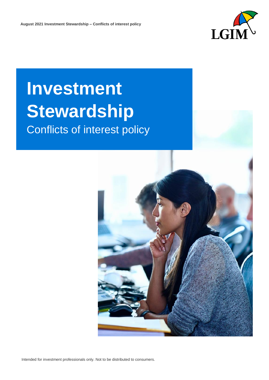

# **Investment Stewardship** Conflicts of interest policy

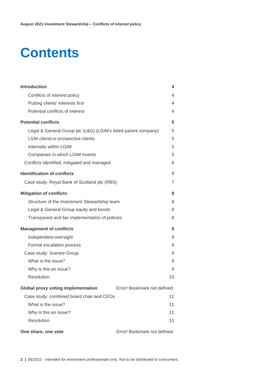## **Contents**

| <b>Introduction</b>                                            | 4                            |
|----------------------------------------------------------------|------------------------------|
| Conflicts of interest policy                                   | 4                            |
| Putting clients' interests first                               | 4                            |
| Potential conflicts of interest                                | 4                            |
| <b>Potential conflicts</b>                                     | 5                            |
| Legal & General Group plc (L&G) (LGIM's listed parent company) | 5                            |
| LGIM clients or prospective clients                            | 5                            |
| Internally within LGIM                                         | 5                            |
| Companies in which LGIM invests                                | 5                            |
| Conflicts identified, mitigated and managed                    | 6                            |
| <b>Identification of conflicts</b>                             | 7                            |
| Case study: Royal Bank of Scotland plc (RBS)                   | $\overline{7}$               |
| <b>Mitigation of conflicts</b>                                 | 8                            |
| Structure of the Investment Stewardship team                   | 8                            |
| Legal & General Group equity and bonds                         | 8                            |
| Transparent and fair implementation of policies                | 8                            |
| <b>Management of conflicts</b>                                 | 9                            |
| Independent oversight                                          | 9                            |
| Formal escalation process                                      | 9                            |
| Case study: Scentre Group                                      | 9                            |
| What is the issue?                                             | 9                            |
| Why is this an issue?                                          | 9                            |
| Resolution                                                     | 10                           |
| <b>Global proxy voting implementation</b>                      | Error! Bookmark not defined. |
| Case study: combined board chair and CEOs                      | 11                           |
| What is the issue?                                             | 11                           |
| Why is this an issue?                                          | 11                           |
| Resolution                                                     | 11                           |
| One share, one vote                                            | Error! Bookmark not defined. |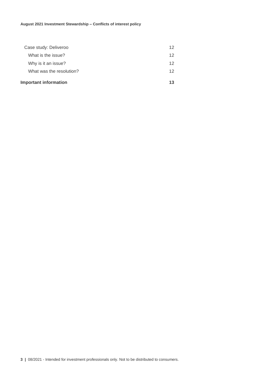| <b>Important information</b> | 13 |
|------------------------------|----|
| What was the resolution?     | 12 |
| Why is it an issue?          | 12 |
| What is the issue?           | 12 |
| Case study: Deliveroo        | 12 |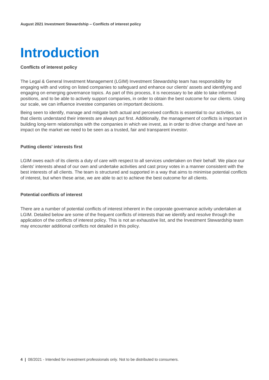<span id="page-3-0"></span>

## <span id="page-3-1"></span>**Conflicts of interest policy**

The Legal & General Investment Management (LGIM) Investment Stewardship team has responsibility for engaging with and voting on listed companies to safeguard and enhance our clients' assets and identifying and engaging on emerging governance topics. As part of this process, it is necessary to be able to take informed positions, and to be able to actively support companies, in order to obtain the best outcome for our clients. Using our scale, we can influence investee companies on important decisions.

Being seen to identify, manage and mitigate both actual and perceived conflicts is essential to our activities, so that clients understand their interests are always put first. Additionally, the management of conflicts is important in building long-term relationships with the companies in which we invest, as in order to drive change and have an impact on the market we need to be seen as a trusted, fair and transparent investor.

## <span id="page-3-2"></span>**Putting clients' interests first**

LGIM owes each of its clients a duty of care with respect to all services undertaken on their behalf. We place our clients' interests ahead of our own and undertake activities and cast proxy votes in a manner consistent with the best interests of all clients. The team is structured and supported in a way that aims to minimise potential conflicts of interest, but when these arise, we are able to act to achieve the best outcome for all clients.

## <span id="page-3-3"></span>**Potential conflicts of interest**

There are a number of potential conflicts of interest inherent in the corporate governance activity undertaken at LGIM. Detailed below are some of the frequent conflicts of interests that we identify and resolve through the application of the conflicts of interest policy. This is not an exhaustive list, and the Investment Stewardship team may encounter additional conflicts not detailed in this policy.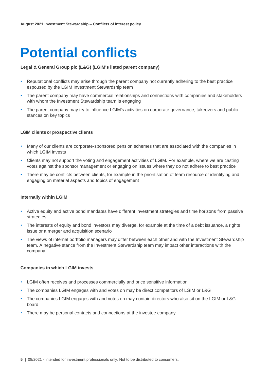## <span id="page-4-0"></span>**Potential conflicts**

## <span id="page-4-1"></span>**Legal & General Group plc (L&G) (LGIM's listed parent company)**

- Reputational conflicts may arise through the parent company not currently adhering to the best practice espoused by the LGIM Investment Stewardship team
- The parent company may have commercial relationships and connections with companies and stakeholders with whom the Investment Stewardship team is engaging
- The parent company may try to influence LGIM's activities on corporate governance, takeovers and public stances on key topics

## <span id="page-4-2"></span>**LGIM clients or prospective clients**

- Many of our clients are corporate-sponsored pension schemes that are associated with the companies in which LGIM invests
- Clients may not support the voting and engagement activities of LGIM. For example, where we are casting votes against the sponsor management or engaging on issues where they do not adhere to best practice
- There may be conflicts between clients, for example in the prioritisation of team resource or identifying and engaging on material aspects and topics of engagement

## <span id="page-4-3"></span>**Internally within LGIM**

- Active equity and active bond mandates have different investment strategies and time horizons from passive strategies
- The interests of equity and bond investors may diverge, for example at the time of a debt issuance, a rights issue or a merger and acquisition scenario
- The views of internal portfolio managers may differ between each other and with the Investment Stewardship team. A negative stance from the Investment Stewardship team may impact other interactions with the company

#### <span id="page-4-4"></span>**Companies in which LGIM invests**

- LGIM often receives and processes commercially and price sensitive information
- The companies LGIM engages with and votes on may be direct competitors of LGIM or L&G
- The companies LGIM engages with and votes on may contain directors who also sit on the LGIM or L&G board
- There may be personal contacts and connections at the investee company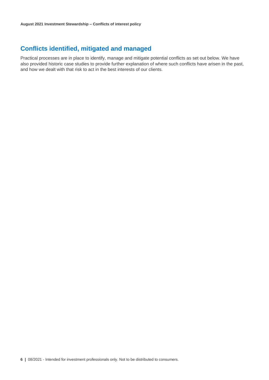## <span id="page-5-0"></span>**Conflicts identified, mitigated and managed**

Practical processes are in place to identify, manage and mitigate potential conflicts as set out below. We have also provided historic case studies to provide further explanation of where such conflicts have arisen in the past, and how we dealt with that risk to act in the best interests of our clients.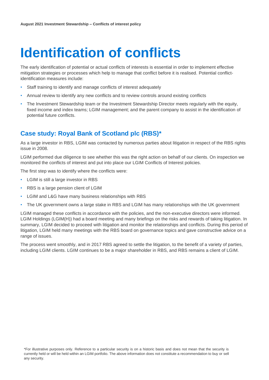## <span id="page-6-0"></span>**Identification of conflicts**

The early identification of potential or actual conflicts of interests is essential in order to implement effective mitigation strategies or processes which help to manage that conflict before it is realised. Potential conflictidentification measures include:

- Staff training to identify and manage conflicts of interest adequately
- Annual review to identify any new conflicts and to review controls around existing conflicts
- The Investment Stewardship team or the Investment Stewardship Director meets regularly with the equity, fixed income and index teams; LGIM management; and the parent company to assist in the identification of potential future conflicts.

## <span id="page-6-1"></span>**Case study: Royal Bank of Scotland plc (RBS)\***

As a large investor in RBS, LGIM was contacted by numerous parties about litigation in respect of the RBS rights issue in 2008.

LGIM performed due diligence to see whether this was the right action on behalf of our clients. On inspection we monitored the conflicts of interest and put into place our LGIM Conflicts of Interest policies.

The first step was to identify where the conflicts were:

- LGIM is still a large investor in RBS
- RBS is a large pension client of LGIM
- LGIM and L&G have many business relationships with RBS
- The UK government owns a large stake in RBS and LGIM has many relationships with the UK government

LGIM managed these conflicts in accordance with the policies, and the non-executive directors were informed. LGIM Holdings (LGIM(H)) had a board meeting and many briefings on the risks and rewards of taking litigation. In summary, LGIM decided to proceed with litigation and monitor the relationships and conflicts. During this period of litigation, LGIM held many meetings with the RBS board on governance topics and gave constructive advice on a range of issues.

The process went smoothly, and in 2017 RBS agreed to settle the litigation, to the benefit of a variety of parties, including LGIM clients. LGIM continues to be a major shareholder in RBS, and RBS remains a client of LGIM.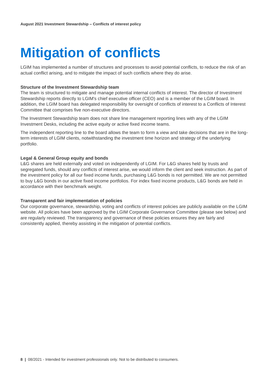## <span id="page-7-0"></span>**Mitigation of conflicts**

LGIM has implemented a number of structures and processes to avoid potential conflicts, to reduce the risk of an actual conflict arising, and to mitigate the impact of such conflicts where they do arise.

## <span id="page-7-1"></span>**Structure of the Investment Stewardship team**

The team is structured to mitigate and manage potential internal conflicts of interest. The director of Investment Stewardship reports directly to LGIM's chief executive officer (CEO) and is a member of the LGIM board. In addition, the LGIM board has delegated responsibility for oversight of conflicts of interest to a Conflicts of Interest Committee that comprises five non-executive directors.

The Investment Stewardship team does not share line management reporting lines with any of the LGIM Investment Desks, including the active equity or active fixed income teams.

The independent reporting line to the board allows the team to form a view and take decisions that are in the longterm interests of LGIM clients, notwithstanding the investment time horizon and strategy of the underlying portfolio.

## <span id="page-7-2"></span>**Legal & General Group equity and bonds**

L&G shares are held externally and voted on independently of LGIM. For L&G shares held by trusts and segregated funds, should any conflicts of interest arise, we would inform the client and seek instruction. As part of the investment policy for all our fixed income funds, purchasing L&G bonds is not permitted. We are not permitted to buy L&G bonds in our active fixed income portfolios. For index fixed income products, L&G bonds are held in accordance with their benchmark weight.

## <span id="page-7-3"></span>**Transparent and fair implementation of policies**

Our corporate governance, stewardship, voting and conflicts of interest policies are publicly available on the LGIM website. All policies have been approved by the LGIM Corporate Governance Committee (please see below) and are regularly reviewed. The transparency and governance of these policies ensures they are fairly and consistently applied, thereby assisting in the mitigation of potential conflicts.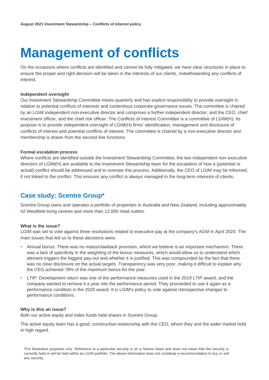## <span id="page-8-0"></span>**Management of conflicts**

On the occasions where conflicts are identified and cannot be fully mitigated, we have clear structures in place to ensure the proper and right decision will be taken in the interests of our clients, notwithstanding any conflicts of interest.

## <span id="page-8-1"></span>**Independent oversight**

Our Investment Stewardship Committee meets quarterly and has explicit responsibility to provide oversight in relation to potential conflicts of interests and contentious corporate governance issues. The committee is chaired by an LGIM independent non-executive director and comprises a further independent director, and the CEO, chief investment officer, and the chief risk officer. The Conflicts of Interest Committee is a committee of LGIM(H). Its purpose is to provide independent oversight of LGIM(H) firms' identification, management and disclosure of conflicts of interest and potential conflicts of interest. The committee is chaired by a non-executive director and membership is drawn from the second-line functions.

## <span id="page-8-2"></span>**Formal escalation process**

Where conflicts are identified outside the Investment Stewardship Committee, the two independent non-executive directors of LGIM(H) are available to the Investment Stewardship team for the escalation of how a (potential or actual) conflict should be addressed and to oversee this process. Additionally, the CEO of LGIM may be informed, if not linked to the conflict. This ensures any conflict is always managed in the long-term interests of clients.

## <span id="page-8-3"></span>**Case study: Scentre Group\***

Scentre Group owns and operates a portfolio of properties in Australia and New Zealand, including approximately 42 Westfield living centres and more than 12,000 retail outlets.

#### <span id="page-8-4"></span>**What is the issue?**

LGIM was set to vote against three resolutions related to executive pay at the company's AGM in April 2020. The main issues that led us to these decisions were:

- Annual bonus: There was no malus/clawback provision, which we believe is an important mechanism. There was a lack of specificity in the weighting of the bonus measures, which would allow us to understand which element triggers the biggest pay-out and whether it is justified. This was compounded by the fact that there was no clear disclosure on the actual targets. Transparency was very poor, making it difficult to explain why the CEO achieved 78% of the maximum bonus for the year.
- LTIP: Development return was one of the performance measures used in the 2019 LTIP award, and the company wanted to remove it a year into the performance period. They proceeded to use it again as a performance condition in the 2020 award. It is LGIM's policy to vote against retrospective changes to performance conditions.

## <span id="page-8-5"></span>**Why is this an issue?**

Both our active equity and index funds held shares in Scentre Group.

The active equity team has a good, constructive relationship with the CEO, whom they and the wider market hold in high regard.

**<sup>9</sup> a**  $\theta$  *l* $\theta$  **interests on a set of the distribution of the distribution of the distribution of the distribution of the distribution of the distribution of the distribution of the distribution of the distribution** \*For illustrative purposes only. Reference to a particular security is on a historic basis and does not mean that the security is currently held or will be held within an LGIM portfolio. The above information does not constitute a recommendation to buy or sell any security.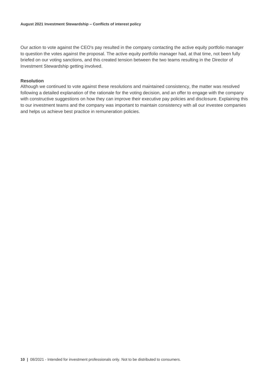Our action to vote against the CEO's pay resulted in the company contacting the active equity portfolio manager to question the votes against the proposal. The active equity portfolio manager had, at that time, not been fully briefed on our voting sanctions, and this created tension between the two teams resulting in the Director of Investment Stewardship getting involved.

## <span id="page-9-0"></span>**Resolution**

Although we continued to vote against these resolutions and maintained consistency, the matter was resolved following a detailed explanation of the rationale for the voting decision, and an offer to engage with the company with constructive suggestions on how they can improve their executive pay policies and disclosure. Explaining this to our investment teams and the company was important to maintain consistency with all our investee companies and helps us achieve best practice in remuneration policies.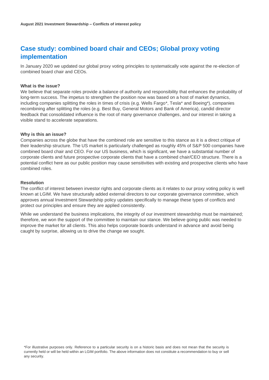## <span id="page-10-0"></span>**Case study: combined board chair and CEOs; Global proxy voting implementation**

In January 2020 we updated our global proxy voting principles to systematically vote against the re-election of combined board chair and CEOs.

## <span id="page-10-1"></span>**What is the issue?**

We believe that separate roles provide a balance of authority and responsibility that enhances the probability of long-term success. The impetus to strengthen the position now was based on a host of market dynamics, including companies splitting the roles in times of crisis (e.g. Wells Fargo\*, Tesla\* and Boeing\*), companies recombining after splitting the roles (e.g. Best Buy, General Motors and Bank of America), candid director feedback that consolidated influence is the root of many governance challenges, and our interest in taking a visible stand to accelerate separations.

## <span id="page-10-2"></span>**Why is this an issue?**

Companies across the globe that have the combined role are sensitive to this stance as it is a direct critique of their leadership structure. The US market is particularly challenged as roughly 45% of S&P 500 companies have combined board chair and CEO. For our US business, which is significant, we have a substantial number of corporate clients and future prospective corporate clients that have a combined chair/CEO structure. There is a potential conflict here as our public position may cause sensitivities with existing and prospective clients who have combined roles.

## <span id="page-10-3"></span>**Resolution**

The conflict of interest between investor rights and corporate clients as it relates to our proxy voting policy is well known at LGIM. We have structurally added external directors to our corporate governance committee, which approves annual Investment Stewardship policy updates specifically to manage these types of conflicts and protect our principles and ensure they are applied consistently.

While we understand the business implications, the integrity of our investment stewardship must be maintained; therefore, we won the support of the committee to maintain our stance. We believe going public was needed to improve the market for all clients. This also helps corporate boards understand in advance and avoid being caught by surprise, allowing us to drive the change we sought.

**<sup>11</sup> |** 08/2021 - Intended for investment professionals only. Not to be distributed to consumers. \*For illustrative purposes only. Reference to a particular security is on a historic basis and does not mean that the security is currently held or will be held within an LGIM portfolio. The above information does not constitute a recommendation to buy or sell any security.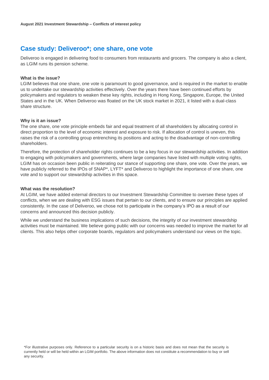## <span id="page-11-0"></span>**Case study: Deliveroo\*; one share, one vote**

Deliveroo is engaged in delivering food to consumers from restaurants and grocers. The company is also a client, as LGIM runs its pension scheme.

## <span id="page-11-1"></span>**What is the issue?**

LGIM believes that one share, one vote is paramount to good governance, and is required in the market to enable us to undertake our stewardship activities effectively. Over the years there have been continued efforts by policymakers and regulators to weaken these key rights, including in Hong Kong, Singapore, Europe, the United States and in the UK. When Deliveroo was floated on the UK stock market in 2021, it listed with a dual-class share structure.

## <span id="page-11-2"></span>**Why is it an issue?**

The one share, one vote principle embeds fair and equal treatment of all shareholders by allocating control in direct proportion to the level of economic interest and exposure to risk. If allocation of control is uneven, this raises the risk of a controlling group entrenching its positions and acting to the disadvantage of non-controlling shareholders.

Therefore, the protection of shareholder rights continues to be a key focus in our stewardship activities. In addition to engaging with policymakers and governments, where large companies have listed with multiple voting rights, LGIM has on occasion been public in reiterating our stance of supporting one share, one vote. Over the years, we have publicly referred to the IPOs of SNAP<sup>\*</sup>, LYFT<sup>\*</sup> and Deliveroo to highlight the importance of one share, one vote and to support our stewardship activities in this space.

## <span id="page-11-3"></span>**What was the resolution?**

At LGIM, we have added external directors to our Investment Stewardship Committee to oversee these types of conflicts, when we are dealing with ESG issues that pertain to our clients, and to ensure our principles are applied consistently. In the case of Deliveroo, we chose not to participate in the company's IPO as a result of our concerns and announced this decision publicly.

While we understand the business implications of such decisions, the integrity of our investment stewardship activities must be maintained. We believe going public with our concerns was needed to improve the market for all clients. This also helps other corporate boards, regulators and policymakers understand our views on the topic.

**12 |** 08/2021 - Intended for investment professionals only. Not to be distributed to consumers. \*For illustrative purposes only. Reference to a particular security is on a historic basis and does not mean that the security is currently held or will be held within an LGIM portfolio. The above information does not constitute a recommendation to buy or sell any security.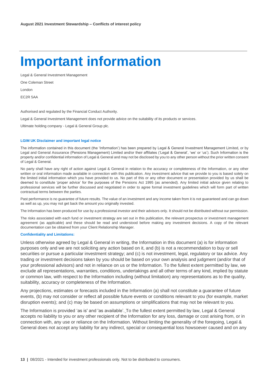## <span id="page-12-0"></span>**Important information**

Legal & General Investment Management One Coleman Street

London

EC2R 5AA

Authorised and regulated by the Financial Conduct Authority.

Legal & General Investment Management does not provide advice on the suitability of its products or services.

Ultimate holding company - Legal & General Group plc.

#### **LGIM UK Disclaimer and important legal notice**

The information contained in this document (the 'Information') has been prepared by Legal & General Investment Management Limited, or by Legal and General Assurance (Pensions Management) Limited and/or their affiliates ('Legal & General', 'we' or 'us'). Such Information is the property and/or confidential information of Legal & General and may not be disclosed by you to any other person without the prior written consent of Legal & General.

No party shall have any right of action against Legal & General in relation to the accuracy or completeness of the Information, or any other written or oral information made available in connection with this publication. Any investment advice that we provide to you is based solely on the limited initial information which you have provided to us. No part of this or any other document or presentation provided by us shall be deemed to constitute 'proper advice' for the purposes of the Pensions Act 1995 (as amended). Any limited initial advice given relating to professional services will be further discussed and negotiated in order to agree formal investment guidelines which will form part of written contractual terms between the parties.

Past performance is no guarantee of future results. The value of an investment and any income taken from it is not guaranteed and can go down as well as up, you may not get back the amount you originally invested.

The Information has been produced for use by a professional investor and their advisors only. It should not be distributed without our permission.

The risks associated with each fund or investment strategy are set out in this publication, the relevant prospectus or investment management agreement (as applicable) and these should be read and understood before making any investment decisions. A copy of the relevant documentation can be obtained from your Client Relationship Manager.

#### **Confidentiality and Limitations:**

Unless otherwise agreed by Legal & General in writing, the Information in this document (a) is for information purposes only and we are not soliciting any action based on it, and (b) is not a recommendation to buy or sell securities or pursue a particular investment strategy; and (c) is not investment, legal, regulatory or tax advice. Any trading or investment decisions taken by you should be based on your own analysis and judgment (and/or that of your professional advisors) and not in reliance on us or the Information. To the fullest extent permitted by law, we exclude all representations, warranties, conditions, undertakings and all other terms of any kind, implied by statute or common law, with respect to the Information including (without limitation) any representations as to the quality, suitability, accuracy or completeness of the Information.

Any projections, estimates or forecasts included in the Information (a) shall not constitute a guarantee of future events, (b) may not consider or reflect all possible future events or conditions relevant to you (for example, market disruption events); and (c) may be based on assumptions or simplifications that may not be relevant to you.

The Information is provided 'as is' and 'as available'. To the fullest extent permitted by law, Legal & General accepts no liability to you or any other recipient of the Information for any loss, damage or cost arising from, or in connection with, any use or reliance on the Information. Without limiting the generality of the foregoing, Legal & General does not accept any liability for any indirect, special or consequential loss howsoever caused and on any